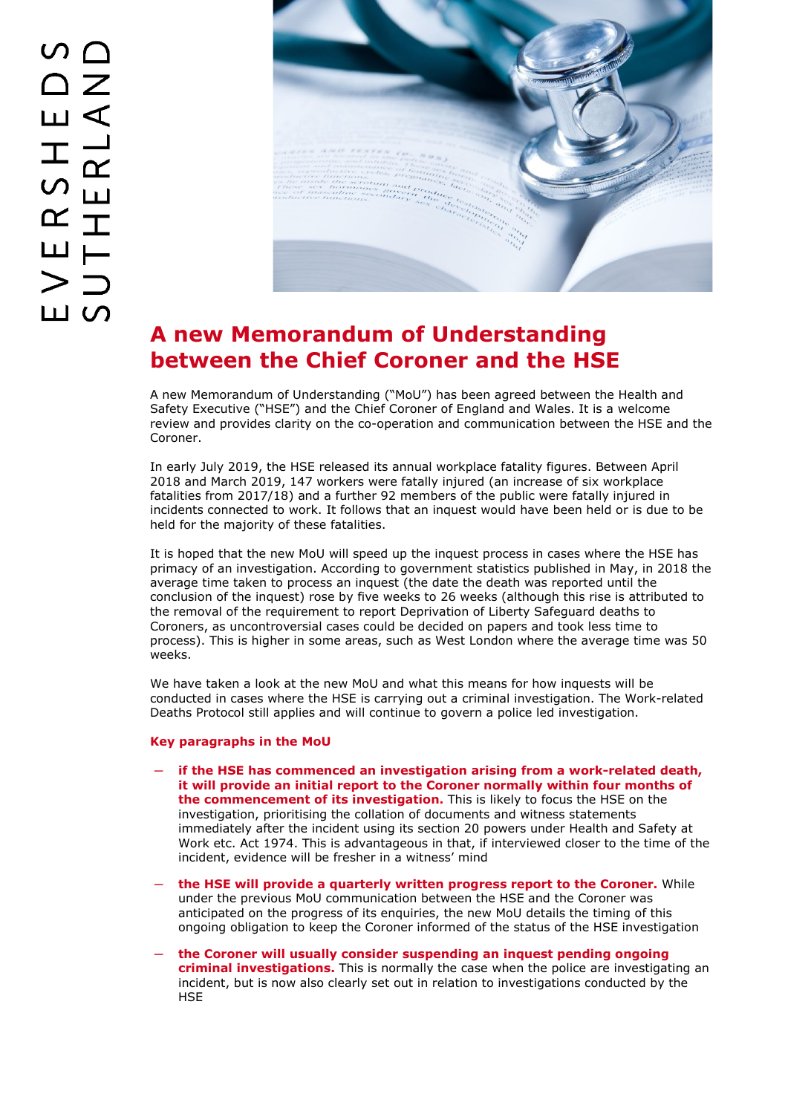

## **A new Memorandum of Understanding between the Chief Coroner and the HSE**

A new Memorandum of Understanding ("MoU") has been agreed between the Health and Safety Executive ("HSE") and the Chief Coroner of England and Wales. It is a welcome review and provides clarity on the co-operation and communication between the HSE and the Coroner.

In early July 2019, the HSE released its annual workplace fatality figures. Between April 2018 and March 2019, 147 workers were fatally injured (an increase of six workplace fatalities from 2017/18) and a further 92 members of the public were fatally injured in incidents connected to work. It follows that an inquest would have been held or is due to be held for the majority of these fatalities.

It is hoped that the new MoU will speed up the inquest process in cases where the HSE has primacy of an investigation. According to government statistics published in May, in 2018 the average time taken to process an inquest (the date the death was reported until the conclusion of the inquest) rose by five weeks to 26 weeks (although this rise is attributed to the removal of the requirement to report Deprivation of Liberty Safeguard deaths to Coroners, as uncontroversial cases could be decided on papers and took less time to process). This is higher in some areas, such as West London where the average time was 50 weeks.

We have taken a look at the new MoU and what this means for how inquests will be conducted in cases where the HSE is carrying out a criminal investigation. The Work-related Deaths Protocol still applies and will continue to govern a police led investigation.

## **Key paragraphs in the MoU**

- ─ **if the HSE has commenced an investigation arising from a work-related death, it will provide an initial report to the Coroner normally within four months of the commencement of its investigation.** This is likely to focus the HSE on the investigation, prioritising the collation of documents and witness statements immediately after the incident using its section 20 powers under Health and Safety at Work etc. Act 1974. This is advantageous in that, if interviewed closer to the time of the incident, evidence will be fresher in a witness' mind
- ─ **the HSE will provide a quarterly written progress report to the Coroner.** While under the previous MoU communication between the HSE and the Coroner was anticipated on the progress of its enquiries, the new MoU details the timing of this ongoing obligation to keep the Coroner informed of the status of the HSE investigation
- ─ **the Coroner will usually consider suspending an inquest pending ongoing criminal investigations.** This is normally the case when the police are investigating an incident, but is now also clearly set out in relation to investigations conducted by the **HSE**